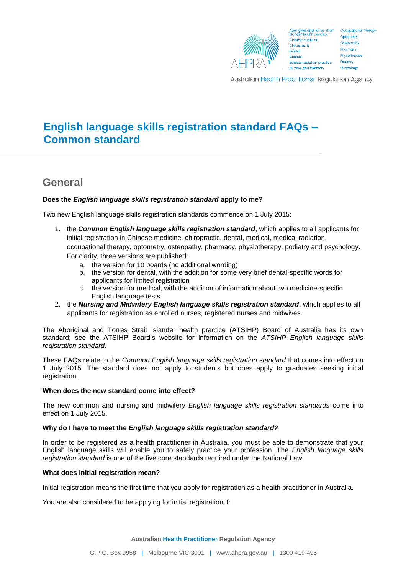

Aboriginal and Torres Strait<br>Islander health practice Chinese medicine Chiropractic Dental Medical Medical radiation practice Nursing and Midwifery

Occupational therapy Optometry Osteopathy Pharmacy Physiotherapy Podiatry Psychology

**Australian Health Practitioner Regulation Agency** 

# **English language skills registration standard FAQs – Common standard**

## **General**

## **Does the** *English language skills registration standard* **apply to me?**

Two new English language skills registration standards commence on 1 July 2015:

- 1. the *Common English language skills registration standard*, which applies to all applicants for initial registration in Chinese medicine, chiropractic, dental, medical, medical radiation, occupational therapy, optometry, osteopathy, pharmacy, physiotherapy, podiatry and psychology. For clarity, three versions are published:
	- a. the version for 10 boards (no additional wording)
	- b. the version for dental, with the addition for some very brief dental-specific words for applicants for limited registration
	- c. the version for medical, with the addition of information about two medicine-specific English language tests
- 2. the *Nursing and Midwifery English language skills registration standard*, which applies to all applicants for registration as enrolled nurses, registered nurses and midwives.

The Aboriginal and Torres Strait Islander health practice (ATSIHP) Board of Australia has its own standard; see the ATSIHP Board's website for information on the *ATSIHP English language skills registration standard*.

These FAQs relate to the *Common English language skills registration standard* that comes into effect on 1 July 2015*.* The standard does not apply to students but does apply to graduates seeking initial registration.

## **When does the new standard come into effect?**

The new common and nursing and midwifery *English language skills registration standards* come into effect on 1 July 2015.

## **Why do I have to meet the** *English language skills registration standard?*

In order to be registered as a health practitioner in Australia, you must be able to demonstrate that your English language skills will enable you to safely practice your profession. The *English language skills registration standard* is one of the five core standards required under the National Law.

## **What does initial registration mean?**

Initial registration means the first time that you apply for registration as a health practitioner in Australia.

You are also considered to be applying for initial registration if: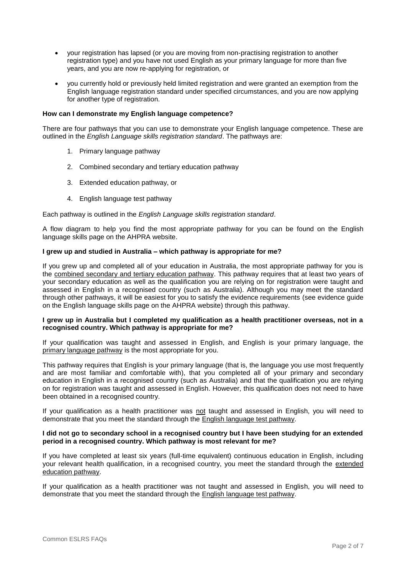- your registration has lapsed (or you are moving from non-practising registration to another registration type) and you have not used English as your primary language for more than five years, and you are now re-applying for registration, or
- you currently hold or previously held limited registration and were granted an exemption from the English language registration standard under specified circumstances, and you are now applying for another type of registration.

## **How can I demonstrate my English language competence?**

There are four pathways that you can use to demonstrate your English language competence. These are outlined in the *English Language skills registration standard*. The pathways are:

- 1. Primary language pathway
- 2. Combined secondary and tertiary education pathway
- 3. Extended education pathway, or
- 4. English language test pathway

Each pathway is outlined in the *English Language skills registration standard*.

A flow diagram to help you find the most appropriate pathway for you can be found on the English language skills page on the AHPRA website.

## **I grew up and studied in Australia – which pathway is appropriate for me?**

If you grew up and completed all of your education in Australia, the most appropriate pathway for you is the combined secondary and tertiary education pathway. This pathway requires that at least two years of your secondary education as well as the qualification you are relying on for registration were taught and assessed in English in a recognised country (such as Australia). Although you may meet the standard through other pathways, it will be easiest for you to satisfy the evidence requirements (see evidence guide on the English language skills page on the AHPRA website) through this pathway.

## **I grew up in Australia but I completed my qualification as a health practitioner overseas, not in a recognised country. Which pathway is appropriate for me?**

If your qualification was taught and assessed in English, and English is your primary language, the primary language pathway is the most appropriate for you.

This pathway requires that English is your primary language (that is, the language you use most frequently and are most familiar and comfortable with), that you completed all of your primary and secondary education in English in a recognised country (such as Australia) and that the qualification you are relying on for registration was taught and assessed in English. However, this qualification does not need to have been obtained in a recognised country.

If your qualification as a health practitioner was not taught and assessed in English, you will need to demonstrate that you meet the standard through the English language test pathway.

## **I did not go to secondary school in a recognised country but I have been studying for an extended period in a recognised country. Which pathway is most relevant for me?**

If you have completed at least six years (full-time equivalent) continuous education in English, including your relevant health qualification, in a recognised country, you meet the standard through the extended education pathway.

If your qualification as a health practitioner was not taught and assessed in English, you will need to demonstrate that you meet the standard through the English language test pathway.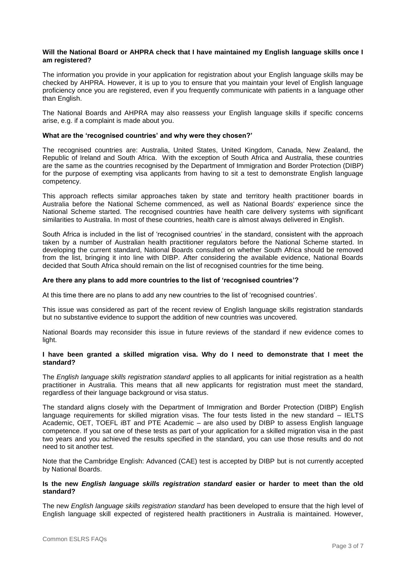## **Will the National Board or AHPRA check that I have maintained my English language skills once I am registered?**

The information you provide in your application for registration about your English language skills may be checked by AHPRA. However, it is up to you to ensure that you maintain your level of English language proficiency once you are registered, even if you frequently communicate with patients in a language other than English.

The National Boards and AHPRA may also reassess your English language skills if specific concerns arise, e.g. if a complaint is made about you.

## **What are the 'recognised countries' and why were they chosen?'**

The recognised countries are: Australia, United States, United Kingdom, Canada, New Zealand, the Republic of Ireland and South Africa. With the exception of South Africa and Australia, these countries are the same as the countries recognised by the Department of Immigration and Border Protection (DIBP) for the purpose of exempting visa applicants from having to sit a test to demonstrate English language competency.

This approach reflects similar approaches taken by state and territory health practitioner boards in Australia before the National Scheme commenced, as well as National Boards' experience since the National Scheme started. The recognised countries have health care delivery systems with significant similarities to Australia. In most of these countries, health care is almost always delivered in English.

South Africa is included in the list of 'recognised countries' in the standard, consistent with the approach taken by a number of Australian health practitioner regulators before the National Scheme started. In developing the current standard, National Boards consulted on whether South Africa should be removed from the list, bringing it into line with DIBP. After considering the available evidence, National Boards decided that South Africa should remain on the list of recognised countries for the time being.

#### **Are there any plans to add more countries to the list of 'recognised countries'?**

At this time there are no plans to add any new countries to the list of 'recognised countries'.

This issue was considered as part of the recent review of English language skills registration standards but no substantive evidence to support the addition of new countries was uncovered.

National Boards may reconsider this issue in future reviews of the standard if new evidence comes to light.

## **I have been granted a skilled migration visa. Why do I need to demonstrate that I meet the standard?**

The *English language skills registration standard* applies to all applicants for initial registration as a health practitioner in Australia. This means that all new applicants for registration must meet the standard, regardless of their language background or visa status.

The standard aligns closely with the Department of Immigration and Border Protection (DIBP) English language requirements for skilled migration visas. The four tests listed in the new standard – IELTS Academic, OET, TOEFL iBT and PTE Academic – are also used by DIBP to assess English language competence. If you sat one of these tests as part of your application for a skilled migration visa in the past two years and you achieved the results specified in the standard, you can use those results and do not need to sit another test.

Note that the Cambridge English: Advanced (CAE) test is accepted by DIBP but is not currently accepted by National Boards.

#### **Is the new** *English language skills registration standard* **easier or harder to meet than the old standard?**

The new *English language skills registration standard* has been developed to ensure that the high level of English language skill expected of registered health practitioners in Australia is maintained. However,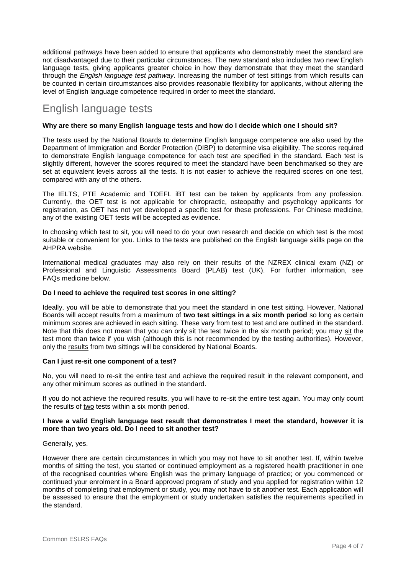additional pathways have been added to ensure that applicants who demonstrably meet the standard are not disadvantaged due to their particular circumstances. The new standard also includes two new English language tests, giving applicants greater choice in how they demonstrate that they meet the standard through the *English language test pathway*. Increasing the number of test sittings from which results can be counted in certain circumstances also provides reasonable flexibility for applicants, without altering the level of English language competence required in order to meet the standard.

## English language tests

## **Why are there so many English language tests and how do I decide which one I should sit?**

The tests used by the National Boards to determine English language competence are also used by the Department of Immigration and Border Protection (DIBP) to determine visa eligibility. The scores required to demonstrate English language competence for each test are specified in the standard. Each test is slightly different, however the scores required to meet the standard have been benchmarked so they are set at equivalent levels across all the tests. It is not easier to achieve the required scores on one test, compared with any of the others.

The IELTS, PTE Academic and TOEFL iBT test can be taken by applicants from any profession. Currently, the OET test is not applicable for chiropractic, osteopathy and psychology applicants for registration, as OET has not yet developed a specific test for these professions. For Chinese medicine, any of the existing OET tests will be accepted as evidence.

In choosing which test to sit, you will need to do your own research and decide on which test is the most suitable or convenient for you. Links to the tests are published on the English language skills page on the AHPRA website.

International medical graduates may also rely on their results of the NZREX clinical exam (NZ) or Professional and Linguistic Assessments Board (PLAB) test (UK). For further information, see FAQs medicine below.

## **Do I need to achieve the required test scores in one sitting?**

Ideally, you will be able to demonstrate that you meet the standard in one test sitting. However, National Boards will accept results from a maximum of **two test sittings in a six month period** so long as certain minimum scores are achieved in each sitting. These vary from test to test and are outlined in the standard. Note that this does not mean that you can only sit the test twice in the six month period; you may sit the test more than twice if you wish (although this is not recommended by the testing authorities). However, only the results from two sittings will be considered by National Boards.

## **Can I just re-sit one component of a test?**

No, you will need to re-sit the entire test and achieve the required result in the relevant component, and any other minimum scores as outlined in the standard.

If you do not achieve the required results, you will have to re-sit the entire test again. You may only count the results of two tests within a six month period.

## **I have a valid English language test result that demonstrates I meet the standard, however it is more than two years old. Do I need to sit another test?**

## Generally, yes.

However there are certain circumstances in which you may not have to sit another test. If, within twelve months of sitting the test, you started or continued employment as a registered health practitioner in one of the recognised countries where English was the primary language of practice; or you commenced or continued your enrolment in a Board approved program of study and you applied for registration within 12 months of completing that employment or study, you may not have to sit another test. Each application will be assessed to ensure that the employment or study undertaken satisfies the requirements specified in the standard.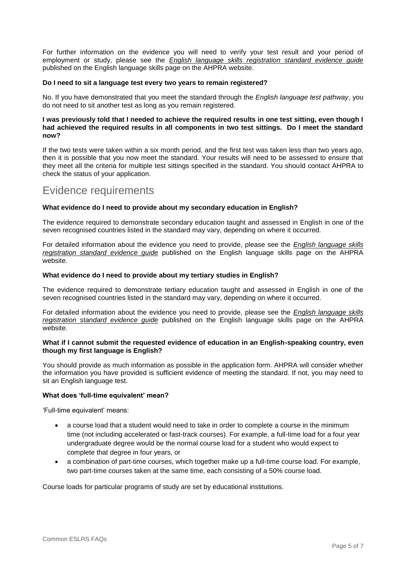For further information on the evidence you will need to verify your test result and your period of employment or study, please see the *English language skills registration standard evidence guide* published on the English language skills page on the AHPRA website.

## **Do I need to sit a language test every two years to remain registered?**

No. If you have demonstrated that you meet the standard through the *English language test pathway*, you do not need to sit another test as long as you remain registered.

## **I was previously told that I needed to achieve the required results in one test sitting, even though I had achieved the required results in all components in two test sittings. Do I meet the standard now?**

If the two tests were taken within a six month period, and the first test was taken less than two years ago, then it is possible that you now meet the standard. Your results will need to be assessed to ensure that they meet all the criteria for multiple test sittings specified in the standard. You should contact AHPRA to check the status of your application.

## Evidence requirements

## **What evidence do I need to provide about my secondary education in English?**

The evidence required to demonstrate secondary education taught and assessed in English in one of the seven recognised countries listed in the standard may vary, depending on where it occurred.

For detailed information about the evidence you need to provide, please see the *English language skills registration standard evidence guide* published on the English language skills page on the AHPRA website.

#### **What evidence do I need to provide about my tertiary studies in English?**

The evidence required to demonstrate tertiary education taught and assessed in English in one of the seven recognised countries listed in the standard may vary, depending on where it occurred.

For detailed information about the evidence you need to provide, please see the *English language skills registration standard evidence guide* published on the English language skills page on the AHPRA website.

### **What if I cannot submit the requested evidence of education in an English-speaking country, even though my first language is English?**

You should provide as much information as possible in the application form. AHPRA will consider whether the information you have provided is sufficient evidence of meeting the standard. If not, you may need to sit an English language test.

#### **What does 'full-time equivalent' mean?**

'Full-time equivalent' means:

- a course load that a student would need to take in order to complete a course in the minimum time (not including accelerated or fast-track courses). For example, a full-time load for a four year undergraduate degree would be the normal course load for a student who would expect to complete that degree in four years, or
- a combination of part-time courses, which together make up a full-time course load. For example, two part-time courses taken at the same time, each consisting of a 50% course load.

Course loads for particular programs of study are set by educational institutions.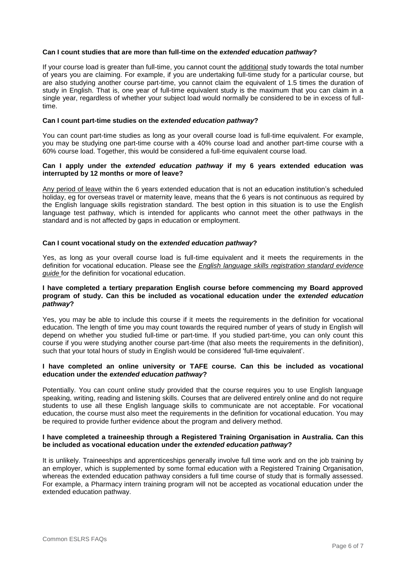## **Can I count studies that are more than full-time on the** *extended education pathway***?**

If your course load is greater than full-time, you cannot count the additional study towards the total number of years you are claiming. For example, if you are undertaking full-time study for a particular course, but are also studying another course part-time, you cannot claim the equivalent of 1.5 times the duration of study in English. That is, one year of full-time equivalent study is the maximum that you can claim in a single year, regardless of whether your subject load would normally be considered to be in excess of fulltime.

#### **Can I count part-time studies on the** *extended education pathway***?**

You can count part-time studies as long as your overall course load is full-time equivalent. For example, you may be studying one part-time course with a 40% course load and another part-time course with a 60% course load. Together, this would be considered a full-time equivalent course load.

## **Can I apply under the** *extended education pathway* **if my 6 years extended education was interrupted by 12 months or more of leave?**

Any period of leave within the 6 years extended education that is not an education institution's scheduled holiday, eg for overseas travel or maternity leave, means that the 6 years is not continuous as required by the English language skills registration standard. The best option in this situation is to use the English language test pathway, which is intended for applicants who cannot meet the other pathways in the standard and is not affected by gaps in education or employment.

## **Can I count vocational study on the** *extended education pathway***?**

Yes, as long as your overall course load is full-time equivalent and it meets the requirements in the definition for vocational education. Please see the *English language skills registration standard evidence guide* for the definition for vocational education.

## **I have completed a tertiary preparation English course before commencing my Board approved program of study. Can this be included as vocational education under the** *extended education pathway***?**

Yes, you may be able to include this course if it meets the requirements in the definition for vocational education. The length of time you may count towards the required number of years of study in English will depend on whether you studied full-time or part-time. If you studied part-time, you can only count this course if you were studying another course part-time (that also meets the requirements in the definition), such that your total hours of study in English would be considered 'full-time equivalent'.

## **I have completed an online university or TAFE course. Can this be included as vocational education under the** *extended education pathway***?**

Potentially. You can count online study provided that the course requires you to use English language speaking, writing, reading and listening skills. Courses that are delivered entirely online and do not require students to use all these English language skills to communicate are not acceptable. For vocational education, the course must also meet the requirements in the definition for vocational education. You may be required to provide further evidence about the program and delivery method.

## **I have completed a traineeship through a Registered Training Organisation in Australia. Can this be included as vocational education under the** *extended education pathway***?**

It is unlikely. Traineeships and apprenticeships generally involve full time work and on the job training by an employer, which is supplemented by some formal education with a Registered Training Organisation, whereas the extended education pathway considers a full time course of study that is formally assessed. For example, a Pharmacy intern training program will not be accepted as vocational education under the extended education pathway.